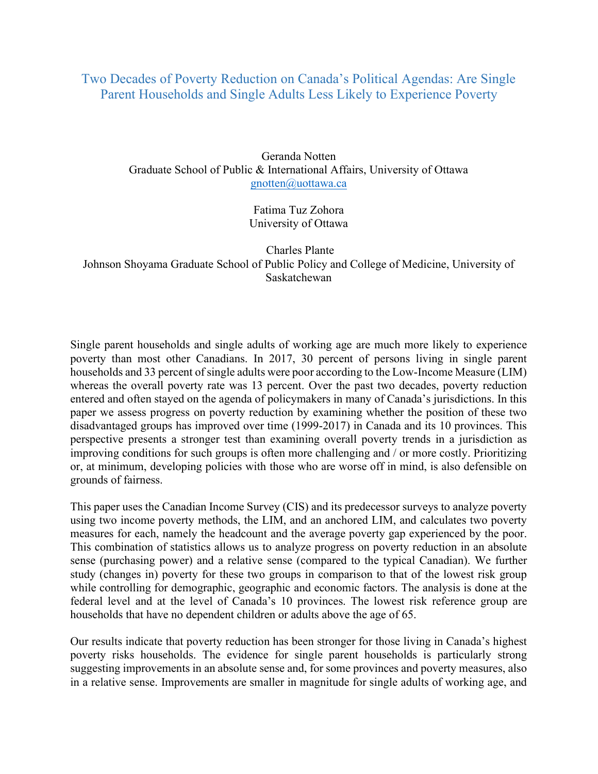## Two Decades of Poverty Reduction on Canada's Political Agendas: Are Single Parent Households and Single Adults Less Likely to Experience Poverty

Geranda Notten Graduate School of Public & International Affairs, University of Ottawa gnotten@uottawa.ca

> Fatima Tuz Zohora University of Ottawa

 Charles Plante Johnson Shoyama Graduate School of Public Policy and College of Medicine, University of Saskatchewan

Single parent households and single adults of working age are much more likely to experience poverty than most other Canadians. In 2017, 30 percent of persons living in single parent households and 33 percent of single adults were poor according to the Low-Income Measure (LIM) whereas the overall poverty rate was 13 percent. Over the past two decades, poverty reduction entered and often stayed on the agenda of policymakers in many of Canada's jurisdictions. In this paper we assess progress on poverty reduction by examining whether the position of these two disadvantaged groups has improved over time (1999-2017) in Canada and its 10 provinces. This perspective presents a stronger test than examining overall poverty trends in a jurisdiction as improving conditions for such groups is often more challenging and / or more costly. Prioritizing or, at minimum, developing policies with those who are worse off in mind, is also defensible on grounds of fairness.

This paper uses the Canadian Income Survey (CIS) and its predecessor surveys to analyze poverty using two income poverty methods, the LIM, and an anchored LIM, and calculates two poverty measures for each, namely the headcount and the average poverty gap experienced by the poor. This combination of statistics allows us to analyze progress on poverty reduction in an absolute sense (purchasing power) and a relative sense (compared to the typical Canadian). We further study (changes in) poverty for these two groups in comparison to that of the lowest risk group while controlling for demographic, geographic and economic factors. The analysis is done at the federal level and at the level of Canada's 10 provinces. The lowest risk reference group are households that have no dependent children or adults above the age of 65.

Our results indicate that poverty reduction has been stronger for those living in Canada's highest poverty risks households. The evidence for single parent households is particularly strong suggesting improvements in an absolute sense and, for some provinces and poverty measures, also in a relative sense. Improvements are smaller in magnitude for single adults of working age, and